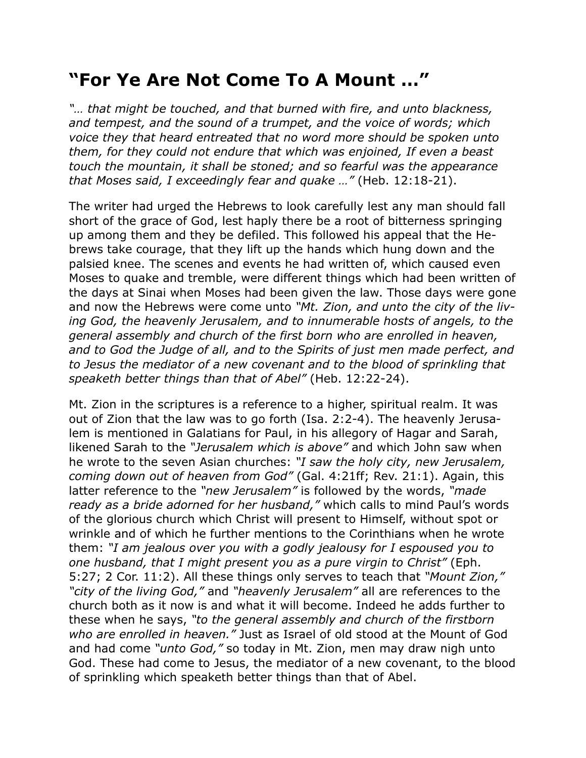## **"For Ye Are Not Come To A Mount …"**

*"… that might be touched, and that burned with fire, and unto blackness, and tempest, and the sound of a trumpet, and the voice of words; which voice they that heard entreated that no word more should be spoken unto them, for they could not endure that which was enjoined, If even a beast touch the mountain, it shall be stoned; and so fearful was the appearance that Moses said, I exceedingly fear and quake …"* (Heb. 12:18-21).

The writer had urged the Hebrews to look carefully lest any man should fall short of the grace of God, lest haply there be a root of bitterness springing up among them and they be defiled. This followed his appeal that the Hebrews take courage, that they lift up the hands which hung down and the palsied knee. The scenes and events he had written of, which caused even Moses to quake and tremble, were different things which had been written of the days at Sinai when Moses had been given the law. Those days were gone and now the Hebrews were come unto *"Mt. Zion, and unto the city of the living God, the heavenly Jerusalem, and to innumerable hosts of angels, to the general assembly and church of the first born who are enrolled in heaven, and to God the Judge of all, and to the Spirits of just men made perfect, and to Jesus the mediator of a new covenant and to the blood of sprinkling that speaketh better things than that of Abel"* (Heb. 12:22-24).

Mt. Zion in the scriptures is a reference to a higher, spiritual realm. It was out of Zion that the law was to go forth (Isa. 2:2-4). The heavenly Jerusalem is mentioned in Galatians for Paul, in his allegory of Hagar and Sarah, likened Sarah to the *"Jerusalem which is above"* and which John saw when he wrote to the seven Asian churches: *"I saw the holy city, new Jerusalem, coming down out of heaven from God"* (Gal. 4:21ff; Rev. 21:1). Again, this latter reference to the *"new Jerusalem"* is followed by the words, *"made ready as a bride adorned for her husband,"* which calls to mind Paul's words of the glorious church which Christ will present to Himself, without spot or wrinkle and of which he further mentions to the Corinthians when he wrote them: *"I am jealous over you with a godly jealousy for I espoused you to one husband, that I might present you as a pure virgin to Christ"* (Eph. 5:27; 2 Cor. 11:2). All these things only serves to teach that *"Mount Zion," "city of the living God,"* and *"heavenly Jerusalem"* all are references to the church both as it now is and what it will become. Indeed he adds further to these when he says, *"to the general assembly and church of the firstborn who are enrolled in heaven."* Just as Israel of old stood at the Mount of God and had come *"unto God,"* so today in Mt. Zion, men may draw nigh unto God. These had come to Jesus, the mediator of a new covenant, to the blood of sprinkling which speaketh better things than that of Abel.